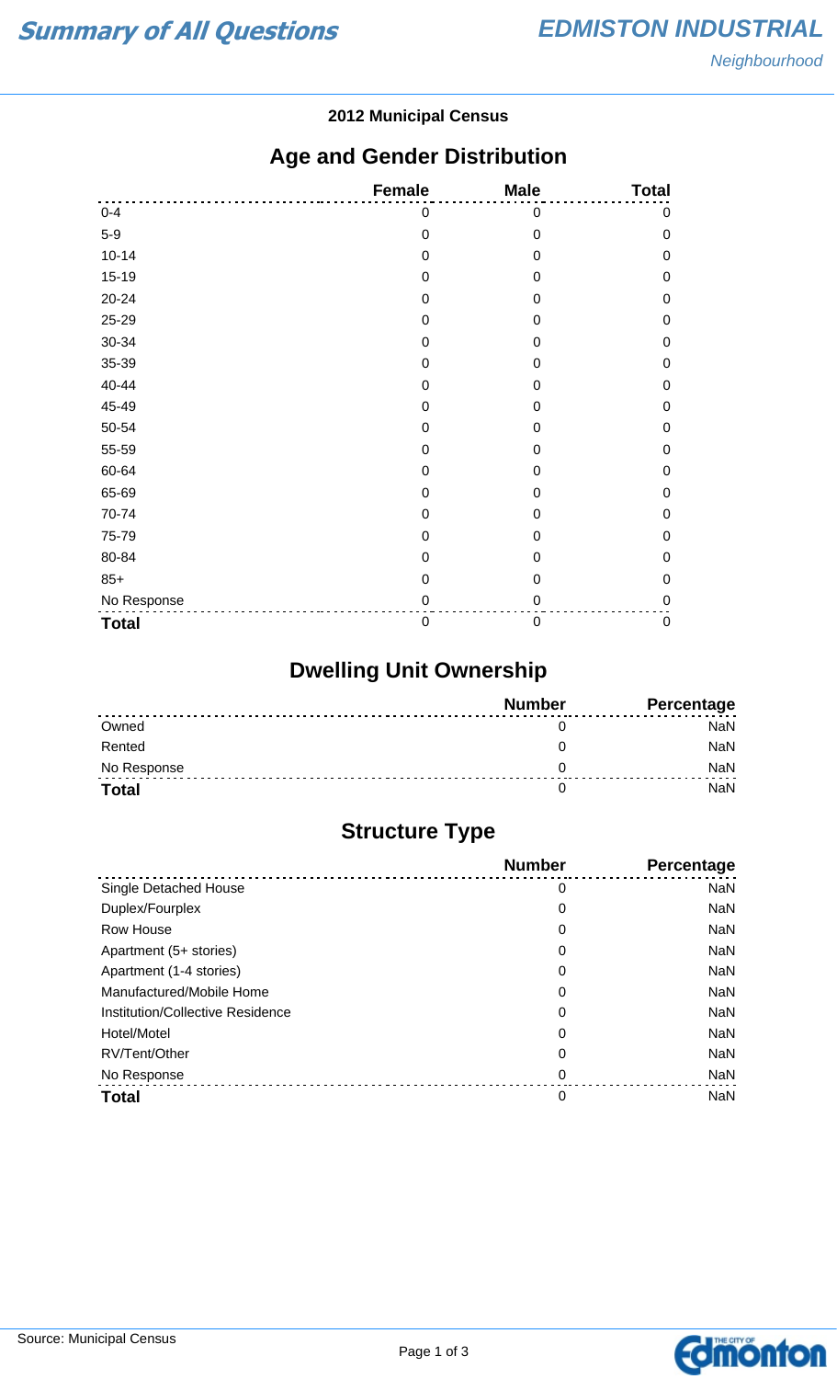#### **2012 Municipal Census**

## **Age and Gender Distribution**

|              | <b>Female</b>    | <b>Male</b>      | <b>Total</b> |
|--------------|------------------|------------------|--------------|
| $0 - 4$      | 0                | $\mathbf 0$      | $\pmb{0}$    |
| $5-9$        | $\mathbf 0$      | $\mathbf 0$      | $\mathbf 0$  |
| $10 - 14$    | $\mathbf 0$      | $\mathbf 0$      | $\mathbf 0$  |
| $15-19$      | $\mathbf 0$      | $\mathbf 0$      | $\mathbf 0$  |
| 20-24        | $\mathbf 0$      | $\mathbf 0$      | $\mathbf 0$  |
| 25-29        | 0                | $\boldsymbol{0}$ | $\mathbf 0$  |
| 30-34        | $\mathbf 0$      | $\overline{0}$   | $\mathbf 0$  |
| 35-39        | $\mathbf 0$      | 0                | $\mathbf 0$  |
| 40-44        | $\mathbf 0$      | 0                | $\mathbf 0$  |
| 45-49        | $\boldsymbol{0}$ | $\mathbf 0$      | $\mathbf 0$  |
| 50-54        | $\mathbf 0$      | $\mathbf 0$      | $\mathbf 0$  |
| 55-59        | $\mathbf 0$      | 0                | $\mathbf 0$  |
| 60-64        | $\mathbf 0$      | 0                | $\mathbf 0$  |
| 65-69        | $\mathbf 0$      | 0                | $\mathbf 0$  |
| 70-74        | $\mathbf 0$      | $\mathbf 0$      | $\mathbf 0$  |
| 75-79        | $\overline{0}$   | $\overline{0}$   | $\mathbf 0$  |
| 80-84        | 0                | 0                | $\mathbf 0$  |
| $85+$        | $\mathbf 0$      | $\mathbf 0$      | $\mathbf 0$  |
| No Response  | 0                | 0                | $\mathbf 0$  |
| <b>Total</b> | $\mathbf 0$      | $\boldsymbol{0}$ | $\pmb{0}$    |

# **Dwelling Unit Ownership**

|              | <b>Number</b> | Percentage |
|--------------|---------------|------------|
| Owned        |               | NaN        |
| Rented       |               | <b>NaN</b> |
| No Response  |               | <b>NaN</b> |
| <b>Total</b> |               | NaN        |

## **Structure Type**

|                                  | <b>Number</b> | <b>Percentage</b> |
|----------------------------------|---------------|-------------------|
| Single Detached House            | 0             | <b>NaN</b>        |
| Duplex/Fourplex                  | 0             | <b>NaN</b>        |
| Row House                        | 0             | <b>NaN</b>        |
| Apartment (5+ stories)           | 0             | <b>NaN</b>        |
| Apartment (1-4 stories)          | 0             | <b>NaN</b>        |
| Manufactured/Mobile Home         | 0             | <b>NaN</b>        |
| Institution/Collective Residence | 0             | <b>NaN</b>        |
| Hotel/Motel                      | 0             | <b>NaN</b>        |
| RV/Tent/Other                    | 0             | <b>NaN</b>        |
| No Response                      | 0             | <b>NaN</b>        |
| <b>Total</b>                     | 0             | <b>NaN</b>        |

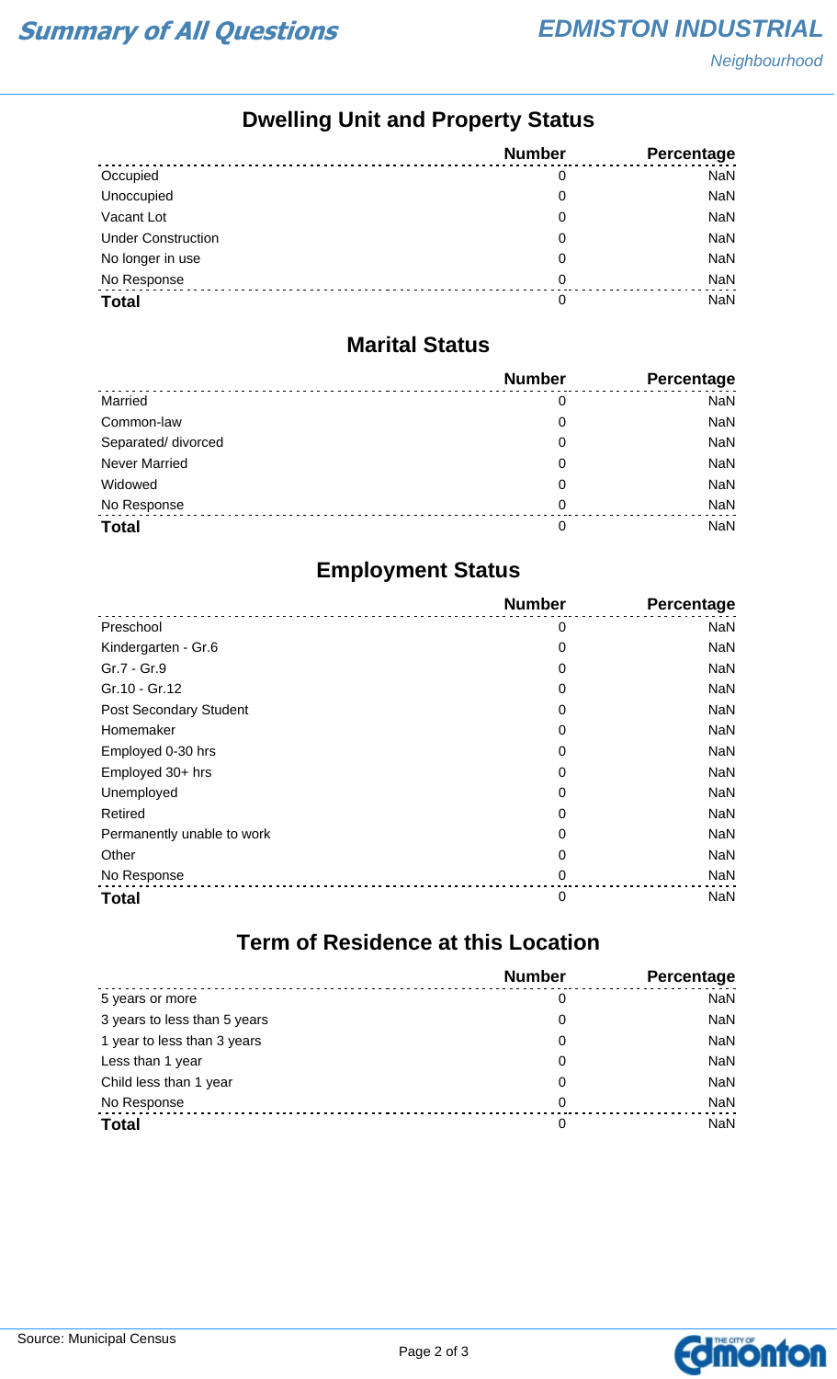## **Dwelling Unit and Property Status**

|                           | <b>Number</b> | <b>Percentage</b> |
|---------------------------|---------------|-------------------|
| Occupied                  | 0             | <b>NaN</b>        |
| Unoccupied                | 0             | NaN               |
| Vacant Lot                | 0             | <b>NaN</b>        |
| <b>Under Construction</b> | 0             | <b>NaN</b>        |
| No longer in use          | 0             | <b>NaN</b>        |
| No Response               | 0             | NaN               |
| <b>Total</b>              | 0             | <b>NaN</b>        |

#### **Marital Status**

|                      | <b>Number</b> | Percentage |
|----------------------|---------------|------------|
| Married              | 0             | <b>NaN</b> |
| Common-law           | 0             | <b>NaN</b> |
| Separated/ divorced  | 0             | <b>NaN</b> |
| <b>Never Married</b> | 0             | <b>NaN</b> |
| Widowed              | 0             | <b>NaN</b> |
| No Response          | $\Omega$      | <b>NaN</b> |
| <b>Total</b>         | 0             | <b>NaN</b> |

## **Employment Status**

|                            | <b>Number</b> | Percentage |
|----------------------------|---------------|------------|
| Preschool                  | 0             | <b>NaN</b> |
| Kindergarten - Gr.6        | 0             | <b>NaN</b> |
| Gr.7 - Gr.9                | 0             | <b>NaN</b> |
| Gr.10 - Gr.12              | 0             | <b>NaN</b> |
| Post Secondary Student     | 0             | <b>NaN</b> |
| Homemaker                  | 0             | <b>NaN</b> |
| Employed 0-30 hrs          | 0             | <b>NaN</b> |
| Employed 30+ hrs           | 0             | <b>NaN</b> |
| Unemployed                 | 0             | <b>NaN</b> |
| Retired                    | 0             | <b>NaN</b> |
| Permanently unable to work | 0             | <b>NaN</b> |
| Other                      | 0             | <b>NaN</b> |
| No Response                | 0             | <b>NaN</b> |
| <b>Total</b>               | $\mathbf 0$   | <b>NaN</b> |

## **Term of Residence at this Location**

|                              | <b>Number</b> | Percentage |
|------------------------------|---------------|------------|
| 5 years or more              | 0             | <b>NaN</b> |
| 3 years to less than 5 years | 0             | <b>NaN</b> |
| 1 year to less than 3 years  | 0             | <b>NaN</b> |
| Less than 1 year             | 0             | <b>NaN</b> |
| Child less than 1 year       | 0             | <b>NaN</b> |
| No Response                  | 0             | <b>NaN</b> |
| <b>Total</b>                 | 0             | <b>NaN</b> |